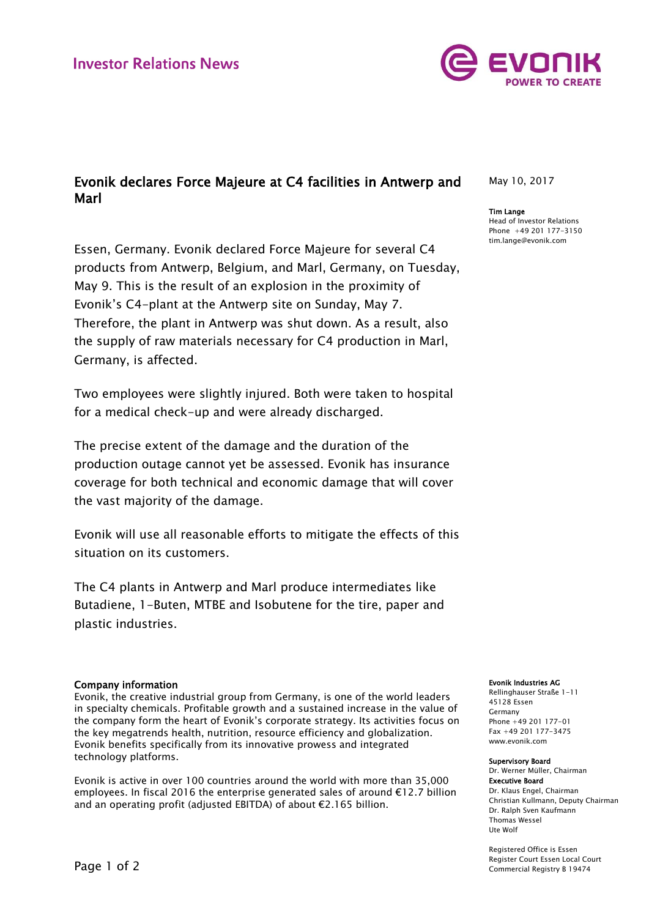

# Evonik declares Force Majeure at C4 facilities in Antwerp and Marl

Essen, Germany. Evonik declared Force Majeure for several C4 products from Antwerp, Belgium, and Marl, Germany, on Tuesday, May 9. This is the result of an explosion in the proximity of Evonik's C4-plant at the Antwerp site on Sunday, May 7. Therefore, the plant in Antwerp was shut down. As a result, also the supply of raw materials necessary for C4 production in Marl, Germany, is affected.

Two employees were slightly injured. Both were taken to hospital for a medical check-up and were already discharged.

The precise extent of the damage and the duration of the production outage cannot yet be assessed. Evonik has insurance coverage for both technical and economic damage that will cover the vast majority of the damage.

Evonik will use all reasonable efforts to mitigate the effects of this situation on its customers.

The C4 plants in Antwerp and Marl produce intermediates like Butadiene, 1-Buten, MTBE and Isobutene for the tire, paper and plastic industries.

## Company information

Evonik, the creative industrial group from Germany, is one of the world leaders in specialty chemicals. Profitable growth and a sustained increase in the value of the company form the heart of Evonik's corporate strategy. Its activities focus on the key megatrends health, nutrition, resource efficiency and globalization. Evonik benefits specifically from its innovative prowess and integrated technology platforms.

Evonik is active in over 100 countries around the world with more than 35,000 employees. In fiscal 2016 the enterprise generated sales of around €12.7 billion and an operating profit (adjusted EBITDA) of about €2.165 billion.

May 10, 2017

### Tim Lange

Head of Investor Relations Phone +49 201 177-3150 tim.lange@evonik.com

#### Evonik Industries AG

Rellinghauser Straße 1-11 45128 Essen Germany Phone +49 201 177-01 Fax +49 201 177-3475 www.evonik.com

#### Supervisory Board

Dr. Werner Müller, Chairman Executive Board Dr. Klaus Engel, Chairman Christian Kullmann, Deputy Chairman Dr. Ralph Sven Kaufmann Thomas Wessel Ute Wolf

Registered Office is Essen Register Court Essen Local Court Commercial Registry B 19474